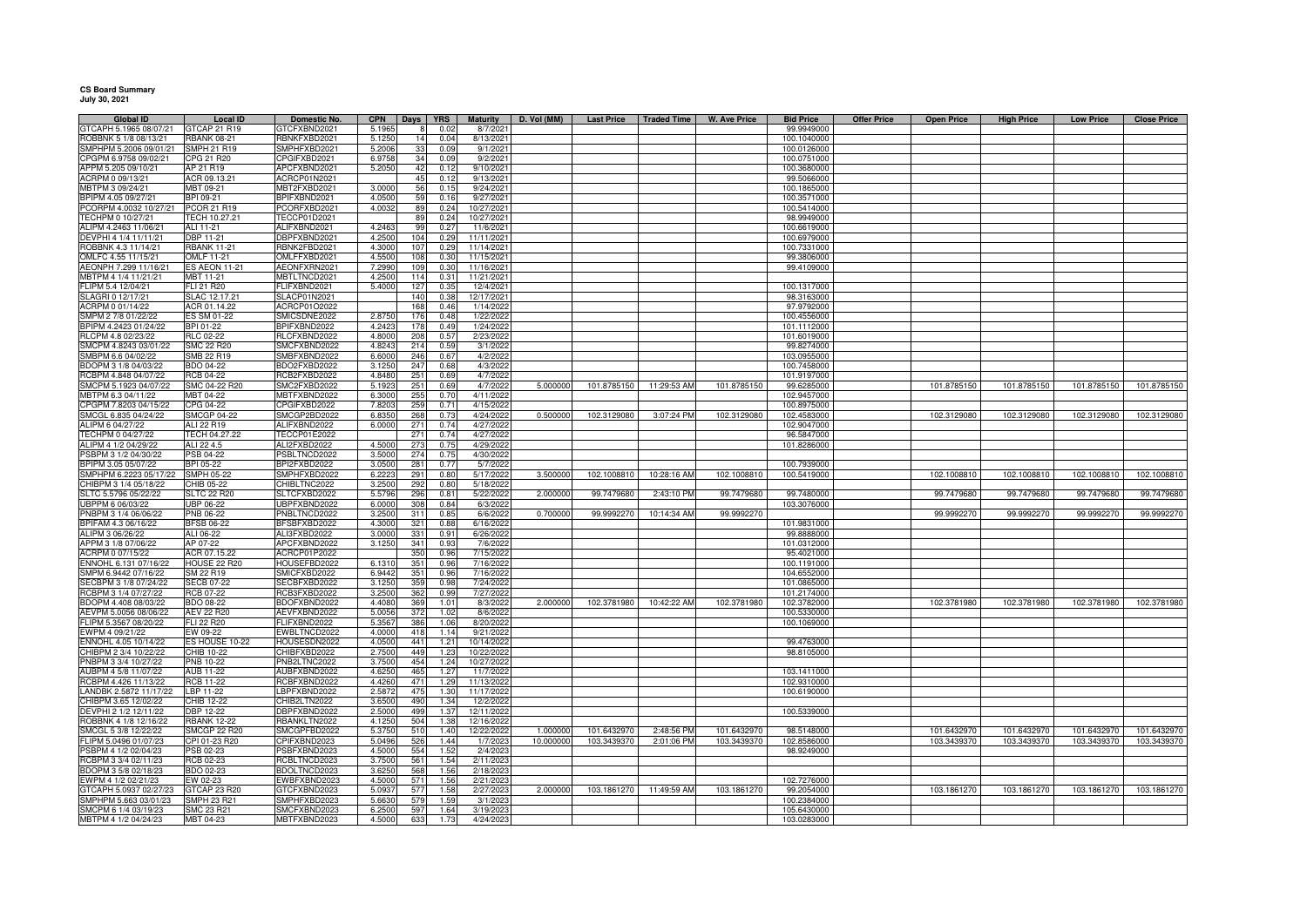## **CS Board Summary July 30, 2021**

| Global ID              | Local ID            | Domestic No.        | <b>CPN</b> | Days  <br>YRS          | <b>Maturity</b> | D. Vol (MM) | <b>Last Price</b> | Traded Time              | W. Ave Price | <b>Bid Price</b> | <b>Offer Price</b> | <b>Open Price</b> | <b>High Price</b> | <b>Low Price</b> | <b>Close Price</b> |
|------------------------|---------------------|---------------------|------------|------------------------|-----------------|-------------|-------------------|--------------------------|--------------|------------------|--------------------|-------------------|-------------------|------------------|--------------------|
| GTCAPH 5.1965 08/07/21 | GTCAP 21 R19        | GTCFXBND2021        | 5.1965     | 0.02                   | 8/7/202         |             |                   |                          |              | 99.9949000       |                    |                   |                   |                  |                    |
| ROBBNK 5 1/8 08/13/21  | <b>RBANK 08-21</b>  | RBNKFXBD2021        | 5.1250     | 14<br>0.04             | 8/13/2021       |             |                   |                          |              | 100.1040000      |                    |                   |                   |                  |                    |
| SMPHPM 5.2006 09/01/21 | <b>SMPH 21 R19</b>  | SMPHFXBD2021        | 5.2006     | 33<br>0.09             | 9/1/202         |             |                   |                          |              | 100.0126000      |                    |                   |                   |                  |                    |
| PGPM 6.9758 09/02/21   | CPG 21 R20          | CPGIFXBD2021        | 6.9758     | 34<br>0.09             | 9/2/202         |             |                   |                          |              | 100.0751000      |                    |                   |                   |                  |                    |
| APPM 5.205 09/10/21    | AP 21 R19           | APCFXBND2021        | 5.2050     | 42<br>0.12             | 9/10/202        |             |                   |                          |              | 100.3680000      |                    |                   |                   |                  |                    |
| ACRPM 0 09/13/21       | ACR 09.13.21        | ACRCP01N2021        |            | 45<br>0.12             | 9/13/202        |             |                   |                          |              | 99.5066000       |                    |                   |                   |                  |                    |
| MBTPM 3 09/24/21       | MBT 09-21           | MBT2FXBD2021        | 3.0000     | 56<br>0.15             | 9/24/202        |             |                   |                          |              | 100.1865000      |                    |                   |                   |                  |                    |
| BPIPM 4.05 09/27/2     | BPI 09-21           | BPIFXBND2021        | 4.050      | 59<br>0.16             | 9/27/202        |             |                   |                          |              | 100.3571000      |                    |                   |                   |                  |                    |
| PCORPM 4.0032 10/27/21 | PCOR 21 R19         | PCORFXBD2021        | 4.0032     | 89<br>0.24             | 10/27/202       |             |                   |                          |              | 100.5414000      |                    |                   |                   |                  |                    |
| TECHPM 0 10/27/21      | TECH 10.27.21       | <b>TECCP01D2021</b> |            | 0.24<br>89             | 10/27/202       |             |                   |                          |              | 98.9949000       |                    |                   |                   |                  |                    |
| LIPM 4.2463 11/06/21   | ALI 11-21           | ALIFXBND2021        | 4.246      | 99<br>0.27             | 11/6/202        |             |                   |                          |              | 100.6619000      |                    |                   |                   |                  |                    |
| EVPHI 4 1/4 11/11/21   | <b>DBP 11-21</b>    | DBPFXBND2021        | 4.250      | 104<br>0.29            | 11/11/202       |             |                   |                          |              | 100.6979000      |                    |                   |                   |                  |                    |
|                        |                     |                     |            | 107<br>0.29            | 11/14/2021      |             |                   |                          |              |                  |                    |                   |                   |                  |                    |
| OBBNK 4.3 11/14/21     | <b>RBANK 11-21</b>  | RBNK2FBD2021        | 4.3000     |                        |                 |             |                   |                          |              | 100.7331000      |                    |                   |                   |                  |                    |
| OMLFC 4.55 11/15/21    | OMLF 11-21          | OMLFFXBD2021        | 4.5500     | 108<br>0.3(            | 11/15/202       |             |                   |                          |              | 99.3806000       |                    |                   |                   |                  |                    |
| AEONPH 7.299 11/16/21  | ES AEON 11-21       | AEONFXRN2021        | 7.299      | 10 <sub>l</sub><br>0.3 | 11/16/202       |             |                   |                          |              | 99.4109000       |                    |                   |                   |                  |                    |
| MBTPM 4 1/4 11/21/21   | MBT 11-21           | MBTLTNCD2021        | 4.250      | 114<br>0.31            | 11/21/202       |             |                   |                          |              |                  |                    |                   |                   |                  |                    |
| FLIPM 5.4 12/04/21     | FLI 21 R20          | FLIFXBND2021        | 5.4000     | 0.35<br>127            | 12/4/2021       |             |                   |                          |              | 100.1317000      |                    |                   |                   |                  |                    |
| SLAGRI 0 12/17/21      | SLAC 12.17.21       | SLACP01N2021        |            | 140<br>0.38            | 12/17/202       |             |                   |                          |              | 98.3163000       |                    |                   |                   |                  |                    |
| ACRPM 0 01/14/22       | ACR 01.14.22        | ACRCP01O2022        |            | 168<br>0.46            | 1/14/202        |             |                   |                          |              | 97.9792000       |                    |                   |                   |                  |                    |
| SMPM 2 7/8 01/22/22    | ES SM 01-22         | SMICSDNE2022        | 2.875      | 176<br>0.48            | 1/22/202        |             |                   |                          |              | 100.4556000      |                    |                   |                   |                  |                    |
| BPIPM 4.2423 01/24/22  | BPI 01-22           | BPIFXBND2022        | 4.242      | 0.49<br>178            | 1/24/202        |             |                   |                          |              | 101.1112000      |                    |                   |                   |                  |                    |
| RLCPM 4.8 02/23/22     | RLC 02-22           | RLCFXBND2022        | 4.800      | 208<br>0.57            | 2/23/202        |             |                   |                          |              | 101.6019000      |                    |                   |                   |                  |                    |
| SMCPM 4.8243 03/01/22  | SMC 22 R20          | SMCFXBND2022        | 4.8243     | 214<br>0.59            | 3/1/202         |             |                   |                          |              | 99.8274000       |                    |                   |                   |                  |                    |
| SMBPM 6.6 04/02/22     | SMB 22 R19          | SMBFXBND2022        | 6.600      | 246<br>0.67            | 4/2/202         |             |                   |                          |              | 103.0955000      |                    |                   |                   |                  |                    |
| BDOPM 3 1/8 04/03/22   | BDO 04-22           | BDO2FXBD2022        | 3.125      | 247<br>0.68            | 4/3/202         |             |                   |                          |              | 100.7458000      |                    |                   |                   |                  |                    |
| RCBPM 4.848 04/07/22   | <b>RCB 04-22</b>    | RCB2FXBD2022        | 4.848      | 251<br>0.69            | 4/7/2022        |             |                   |                          |              | 101.9197000      |                    |                   |                   |                  |                    |
|                        |                     |                     |            |                        |                 |             |                   |                          |              |                  |                    |                   |                   |                  |                    |
| SMCPM 5.1923 04/07/22  | SMC 04-22 R20       | SMC2FXBD2022        | 5.192      | 251<br>0.69            | 4/7/2022        | 5.000000    | 101.8785150       | 11:29:53 AM              | 101.8785150  | 99.6285000       |                    | 101.8785150       | 101.8785150       | 101.8785150      | 101.8785150        |
| MBTPM 6.3 04/11/22     | MBT 04-22           | <b>MBTFXBND2022</b> | 6.300      | 255<br>0.70            | 4/11/202        |             |                   |                          |              | 102.9457000      |                    |                   |                   |                  |                    |
| CPGPM 7.8203 04/15/22  | CPG 04-22           | CPGIFXBD2022        | 7.8203     | 259<br>0.71            | 4/15/202        |             |                   |                          |              | 100.8975000      |                    |                   |                   |                  |                    |
| SMCGL 6.835 04/24/22   | <b>SMCGP 04-22</b>  | SMCGP2BD2022        | 6.835      | 268<br>0.73            | 4/24/2022       | 0.500000    | 102.3129080       | 3:07:24 PM               | 102.3129080  | 102.4583000      |                    | 102.3129080       | 102.3129080       | 102.3129080      | 102.3129080        |
| ALIPM 6 04/27/22       | ALI 22 R19          | ALIFXBND2022        | 6.0000     | 271<br>0.74            | 4/27/202        |             |                   |                          |              | 102.9047000      |                    |                   |                   |                  |                    |
| TECHPM 0 04/27/22      | TECH 04.27.22       | TECCP01E2022        |            | 271<br>0.74            | 4/27/202        |             |                   |                          |              | 96.5847000       |                    |                   |                   |                  |                    |
| ALIPM 4 1/2 04/29/22   | ALI 22 4.5          | ALI2FXBD2022        | 4.500      | 273<br>0.75            | 4/29/202        |             |                   |                          |              | 101.8286000      |                    |                   |                   |                  |                    |
| SBPM 3 1/2 04/30/22    | PSB 04-22           | PSBLTNCD2022        | 3.500      | 274<br>0.75            | 4/30/202        |             |                   |                          |              |                  |                    |                   |                   |                  |                    |
| PIPM 3.05 05/07/22     | BPI 05-22           | BPI2FXBD2022        | 3.050      | 281<br>0.77            | 5/7/202         |             |                   |                          |              | 100.7939000      |                    |                   |                   |                  |                    |
| MPHPM 6.2223 05/17/22  | SMPH 05-22          | SMPHFXBD2022        | 6.2223     | 291<br>0.80            | 5/17/202        | 3.500000    | 102.1008810       | 10:28:16 AM              | 102.1008810  | 100.5419000      |                    | 102.1008810       | 102.1008810       | 102.1008810      | 102.1008810        |
| :HIBPM 3 1/4 05/18/22  | CHIB 05-22          | CHIBLTNC2022        | 3.2500     | 0.80<br>292            | 5/18/2022       |             |                   |                          |              |                  |                    |                   |                   |                  |                    |
| LTC 5.5796 05/22/22    | <b>SLTC 22 R20</b>  | SLTCFXBD2022        | 5.579      | 296<br>0.81            | 5/22/2022       | 2.000000    | 99.7479680        | 2:43:10 PM               | 99.7479680   | 99.7480000       |                    | 99.7479680        | 99.7479680        | 99.7479680       | 99.7479680         |
| UBPPM 6 06/03/22       | JBP 06-22           | UBPFXBND2022        | 6.000      | 308<br>0.84            | 6/3/2022        |             |                   |                          |              | 103.3076000      |                    |                   |                   |                  |                    |
|                        |                     |                     |            |                        |                 |             |                   |                          |              |                  |                    |                   |                   |                  |                    |
| NBPM 3 1/4 06/06/22    | PNB 06-22           | PNBLTNCD2022        | 3.250      | 311<br>0.85            | 6/6/202         | 0.700000    | 99.9992270        | 10:14:34 AM              | 99.9992270   |                  |                    | 99.9992270        | 99.9992270        | 99.9992270       | 99.9992270         |
| BPIFAM 4.3 06/16/22    | <b>BFSB 06-22</b>   | BFSBFXBD2022        | 4.3000     | 321<br>0.88            | 6/16/202        |             |                   |                          |              | 101.9831000      |                    |                   |                   |                  |                    |
| ALIPM 3 06/26/22       | ALI 06-22           | ALI3FXBD2022        | 3.0000     | 331<br>0.91            | 6/26/202        |             |                   |                          |              | 99.8888000       |                    |                   |                   |                  |                    |
| APPM 3 1/8 07/06/22    | AP 07-22            | APCFXBND2022        | 3.125      | 341<br>0.93            | 7/6/202         |             |                   |                          |              | 101.0312000      |                    |                   |                   |                  |                    |
| ACRPM 0 07/15/22       | ACR 07.15.22        | ACRCP01P2022        |            | 350<br>0.96            | 7/15/202        |             |                   |                          |              | 95.4021000       |                    |                   |                   |                  |                    |
| NNOHL 6.131 07/16/22   | <b>HOUSE 22 R20</b> | HOUSEFBD2022        | 6.131      | 351<br>0.96            | 7/16/202        |             |                   |                          |              | 100.1191000      |                    |                   |                   |                  |                    |
| SMPM 6.9442 07/16/22   | SM 22 R19           | SMICFXBD2022        | 6.9442     | 351<br>0.96            | 7/16/202        |             |                   |                          |              | 104.6552000      |                    |                   |                   |                  |                    |
| ECBPM 3 1/8 07/24/22   | <b>SECB 07-22</b>   | SECBFXBD2022        | 3.125      | 359<br>0.98            | 7/24/2022       |             |                   |                          |              | 101.0865000      |                    |                   |                   |                  |                    |
| RCBPM 3 1/4 07/27/22   | <b>RCB 07-22</b>    | RCB3FXBD2022        | 3.250      | 362<br>0.99            | 7/27/2022       |             |                   |                          |              | 101.2174000      |                    |                   |                   |                  |                    |
| BDOPM 4.408 08/03/22   | <b>BDO 08-22</b>    | BDOFXBND2022        | 4.408      | 369<br>1.01            | 8/3/202         | 2.000000    | 102.3781980       | 10:42:22 AM              | 102.3781980  | 102.3782000      |                    | 102.3781980       | 102.3781980       | 102.3781980      | 102.3781980        |
| AEVPM 5.0056 08/06/22  | <b>AEV 22 R20</b>   | AEVFXBND2022        | 5.0056     | 372<br>1.02            | 8/6/2022        |             |                   |                          |              | 100.5330000      |                    |                   |                   |                  |                    |
| FLIPM 5.3567 08/20/22  | <b>FLI 22 R20</b>   | FLIFXBND2022        | 5.3567     | 386<br>1.06            | 8/20/202        |             |                   |                          |              | 100.1069000      |                    |                   |                   |                  |                    |
| WPM 4 09/21/22         | EW 09-22            | EWBLTNCD2022        | 4.0000     | 418<br>1.14            | 9/21/202        |             |                   |                          |              |                  |                    |                   |                   |                  |                    |
| ENNOHL 4.05 10/14/22   | ES HOUSE 10-22      | HOUSESDN2022        | 4.0500     | 441                    | 10/14/202       |             |                   |                          |              | 99.4763000       |                    |                   |                   |                  |                    |
| CHIBPM 2 3/4 10/22/22  | CHIB 10-22          | CHIBFXBD2022        |            | 1.21<br>449<br>1.23    | 10/22/202       |             |                   |                          |              | 98.8105000       |                    |                   |                   |                  |                    |
|                        |                     |                     | 2.7500     |                        |                 |             |                   |                          |              |                  |                    |                   |                   |                  |                    |
| NBPM 3 3/4 10/27/22    | <b>PNB 10-22</b>    | PNB2LTNC2022        | 3.7500     | 454<br>1.24            | 10/27/202       |             |                   |                          |              |                  |                    |                   |                   |                  |                    |
| UBPM 4 5/8 11/07/22    | AUB 11-22           | AUBFXBND2022        | 4.625      | 465<br>1.27            | 11/7/202        |             |                   |                          |              | 103.1411000      |                    |                   |                   |                  |                    |
| CBPM 4.426 11/13/22    | <b>RCB 11-22</b>    | RCBFXBND2022        | 4.426      | 471<br>1.29            | 11/13/202       |             |                   |                          |              | 102.9310000      |                    |                   |                   |                  |                    |
| LANDBK 2.5872 11/17/22 | LBP 11-22           | LBPFXBND2022        | 2.587      | 475<br>1.30            | 11/17/202       |             |                   |                          |              | 100.6190000      |                    |                   |                   |                  |                    |
| HIBPM 3.65 12/02/22    | CHIB 12-22          | CHIB2LTN2022        | 3.650      | 490<br>1.34            | 12/2/202        |             |                   |                          |              |                  |                    |                   |                   |                  |                    |
| DEVPHI 2 1/2 12/11/22  | <b>DBP 12-22</b>    | DBPFXBND2022        | 2.500      | 499<br>1.37            | 12/11/202       |             |                   |                          |              | 100.5339000      |                    |                   |                   |                  |                    |
| ROBBNK 4 1/8 12/16/22  | <b>RBANK 12-22</b>  | RBANKLTN2022        | 4.1250     | 504<br>1.38            | 12/16/2022      |             |                   |                          |              |                  |                    |                   |                   |                  |                    |
| MCGL 5 3/8 12/22/22    | <b>SMCGP 22 R20</b> | SMCGPFBD2022        | 5.375      | 510<br>1.40            | 12/22/202       | 1.000000    | 101.6432970       | 2:48:56 PM               | 101.6432970  | 98.5148000       |                    | 101.6432970       | 101.6432970       | 101.6432970      | 101.6432970        |
| FLIPM 5.0496 01/07/23  | CPI 01-23 R20       | CPIFXBND2023        | 5.049      | 526<br>1.44            | 1/7/202         | 10.000000   | 103.3439370       | 2:01:06 PM               | 103.3439370  | 102.8586000      |                    | 103.3439370       | 103.3439370       | 103.3439370      | 103.3439370        |
| SBPM 4 1/2 02/04/23    | PSB 02-23           | SBFXBND2023         | 4.500      | 554<br>1.52            | 2/4/202         |             |                   |                          |              | 98.9249000       |                    |                   |                   |                  |                    |
| RCBPM 3 3/4 02/11/23   | <b>RCB 02-23</b>    | RCBLTNCD2023        | 3.7500     | 561<br>1.54            | 2/11/202        |             |                   |                          |              |                  |                    |                   |                   |                  |                    |
| BDOPM 3 5/8 02/18/23   | BDO 02-23           | BDOLTNCD2023        | 3.6250     | 568<br>1.56            | 2/18/202        |             |                   |                          |              |                  |                    |                   |                   |                  |                    |
| EWPM 4 1/2 02/21/23    | EW 02-23            | EWBFXBND2023        | 4.5000     | 571<br>1.56            | 2/21/2023       |             |                   |                          |              |                  |                    |                   |                   |                  |                    |
|                        |                     |                     |            |                        |                 |             |                   |                          |              | 102.7276000      |                    |                   |                   |                  |                    |
| GTCAPH 5.0937 02/27/23 | GTCAP 23 R20        | GTCFXBND2023        | 5.093      | 577<br>1.58            | 2/27/202        | 2.000000    |                   | 103.1861270  11:49:59 AM | 103.1861270  | 99.2054000       |                    | 103.1861270       | 103.1861270       | 103.1861270      | 103.1861270        |
| SMPHPM 5.663 03/01/23  | SMPH 23 R21         | SMPHFXBD2023        | 5.663      | 579<br>1.59            | 3/1/202         |             |                   |                          |              | 100.2384000      |                    |                   |                   |                  |                    |
| SMCPM 6 1/4 03/19/23   | SMC 23 R21          | SMCFXBND2023        | 6.250      | 597<br>1.64            | 3/19/202        |             |                   |                          |              | 105.6430000      |                    |                   |                   |                  |                    |
| MBTPM 4 1/2 04/24/23   | MBT 04-23           | MBTFXBND2023        | 4.5000     | 633<br>1.73            | 4/24/2023       |             |                   |                          |              | 103.0283000      |                    |                   |                   |                  |                    |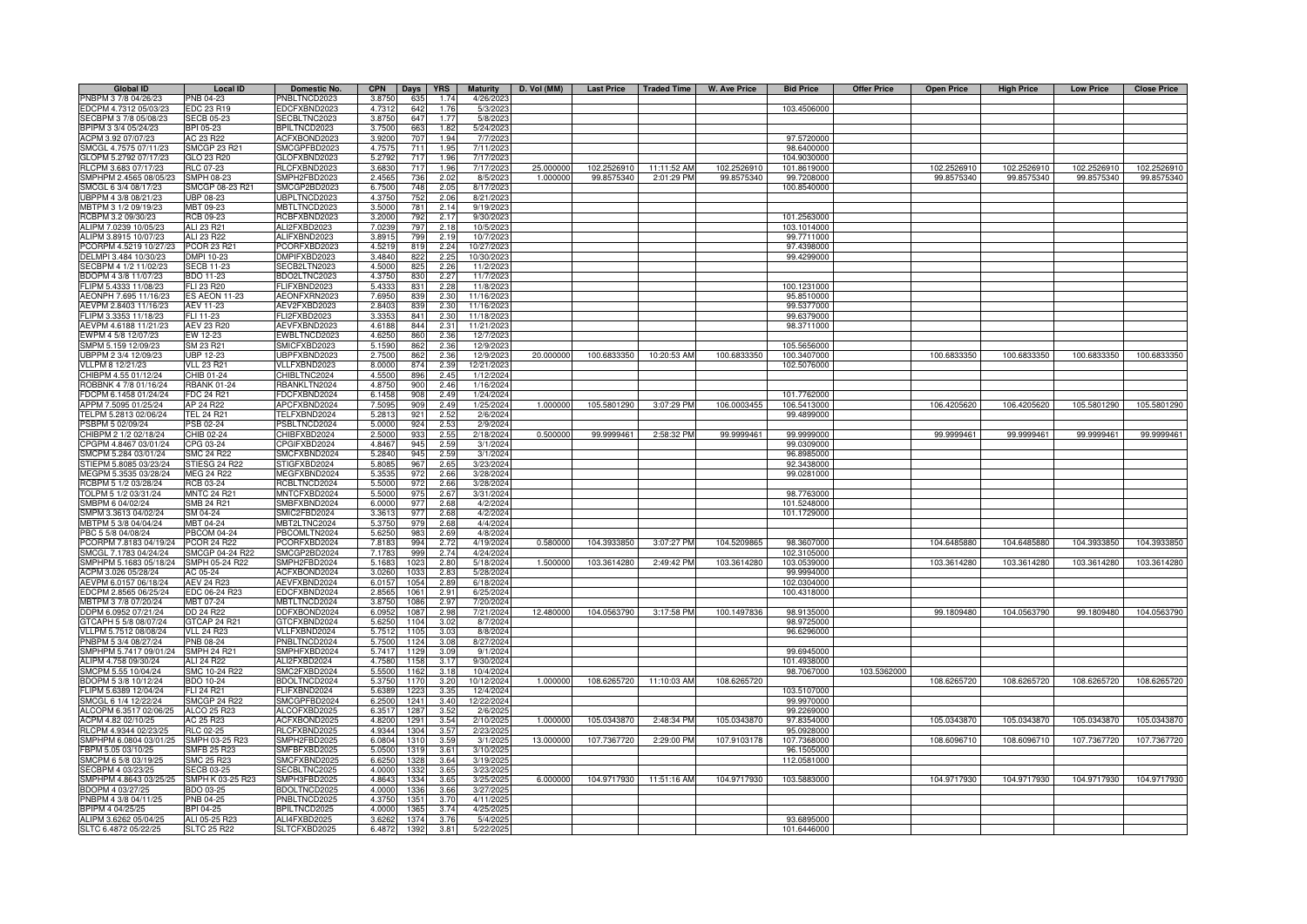| <b>Global ID</b>       | <b>Local ID</b>      | Domestic No.                 | <b>CPN</b><br>Days<br><b>YRS</b> | <b>Maturity</b> | D. Vol (MM) |             | Last Price   Traded Time | W. Ave Price | <b>Bid Price</b> | <b>Offer Price</b> | <b>Open Price</b> | <b>High Price</b> | <b>Low Price</b> | <b>Close Price</b> |
|------------------------|----------------------|------------------------------|----------------------------------|-----------------|-------------|-------------|--------------------------|--------------|------------------|--------------------|-------------------|-------------------|------------------|--------------------|
| PNBPM 3 7/8 04/26/23   | PNB 04-23            | NBLTNCD2023                  | 3.8750<br>1.74<br>635            | 4/26/2023       |             |             |                          |              |                  |                    |                   |                   |                  |                    |
| EDCPM 4.7312 05/03/23  | EDC 23 R19           | DCFXBND2023                  | 642<br>4.731<br>1.76             | 5/3/2023        |             |             |                          |              | 103.4506000      |                    |                   |                   |                  |                    |
| SECBPM 3 7/8 05/08/23  | <b>ECB 05-23</b>     | ECBLTNC2023                  | 3.875<br>647<br>1.77             | 5/8/2023        |             |             |                          |              |                  |                    |                   |                   |                  |                    |
| BPIPM 3 3/4 05/24/23   | BPI 05-23            | <b>BPILTNCD2023</b>          | 3.7500<br>663<br>1.82            | 5/24/2023       |             |             |                          |              |                  |                    |                   |                   |                  |                    |
| ACPM 3.92 07/07/23     | AC 23 R22            | ACFXBOND2023                 | 3.9200<br>707<br>1.94            | 7/7/2023        |             |             |                          |              | 97,5720000       |                    |                   |                   |                  |                    |
| SMCGL 4.7575 07/11/23  | SMCGP 23 R21         | SMCGPFBD2023                 | 4.7575<br>711<br>1.95            | 7/11/2023       |             |             |                          |              | 98.6400000       |                    |                   |                   |                  |                    |
| GLOPM 5.2792 07/17/23  | <b>GLO 23 R20</b>    | GLOFXBND2023                 | 5.2792<br>717<br>1.96            | 7/17/2023       |             |             |                          |              | 104.9030000      |                    |                   |                   |                  |                    |
|                        |                      |                              |                                  |                 |             |             |                          |              |                  |                    |                   |                   |                  |                    |
| RLCPM 3.683 07/17/23   | <b>RLC 07-23</b>     | RLCFXBND2023                 | 3.6830<br>717<br>1.96            | 7/17/2023       | 25.000000   | 102.2526910 | 11:11:52 AM              | 102.2526910  | 101.8619000      |                    | 102.2526910       | 102.2526910       | 102.2526910      | 102.2526910        |
| SMPHPM 2.4565 08/05/23 | SMPH 08-23           | SMPH2FBD2023                 | 2.4565<br>736<br>2.02            | 8/5/2023        | 1.000000    | 99.8575340  | 2:01:29 PM               | 99.8575340   | 99.7208000       |                    | 99.8575340        | 99.8575340        | 99.8575340       | 99.8575340         |
| SMCGL 6 3/4 08/17/23   | SMCGP 08-23 R21      | SMCGP2BD2023                 | 6.750<br>748<br>2.05             | 8/17/202        |             |             |                          |              | 100.8540000      |                    |                   |                   |                  |                    |
| UBPPM 4 3/8 08/21/23   | JBP 08-23            | JBPLTNCD2023                 | 4.375<br>752<br>2.06             | 8/21/202        |             |             |                          |              |                  |                    |                   |                   |                  |                    |
| MBTPM 3 1/2 09/19/23   | MBT 09-23            | MBTLTNCD2023                 | 3.500<br>781<br>2.14             | 9/19/202        |             |             |                          |              |                  |                    |                   |                   |                  |                    |
| RCBPM 3.2 09/30/23     | RCB 09-23            | RCBFXBND2023                 | 3.2000<br>792<br>2.17            | 9/30/2023       |             |             |                          |              | 101.2563000      |                    |                   |                   |                  |                    |
| ALIPM 7.0239 10/05/23  | ALI 23 R21           | ALI2FXBD2023                 | 797<br>7.023<br>2.18             | 10/5/2023       |             |             |                          |              | 103.1014000      |                    |                   |                   |                  |                    |
| ALIPM 3.8915 10/07/23  | ALI 23 R22           | ALIFXBND2023                 | 799<br>3.891<br>2.19             | 10/7/2023       |             |             |                          |              | 99.7711000       |                    |                   |                   |                  |                    |
| PCORPM 4.5219 10/27/23 | <b>PCOR 23 R21</b>   | PCORFXBD2023                 | 2.24<br>4.521<br>819             | 10/27/2023      |             |             |                          |              | 97.4398000       |                    |                   |                   |                  |                    |
| DELMPI 3.484 10/30/23  | DMPI 10-23           | DMPIFXBD2023                 | 2.25<br>3.484<br>822             | 10/30/2023      |             |             |                          |              | 99.4299000       |                    |                   |                   |                  |                    |
| SECBPM 4 1/2 11/02/23  | <b>ECB 11-23</b>     | SECB2LTN2023                 | 4.500<br>2.26<br>82              | 11/2/202        |             |             |                          |              |                  |                    |                   |                   |                  |                    |
| BDOPM 4 3/8 11/07/23   | BDO 11-23            | BDO2LTNC2023                 | 4.375<br>$R^2$<br>227            | 11/7/2023       |             |             |                          |              |                  |                    |                   |                   |                  |                    |
| FLIPM 5.4333 11/08/23  | FLI 23 R20           | FLIFXBND2023                 | 5.433<br>831<br>2.28             | 11/8/2023       |             |             |                          |              | 100.1231000      |                    |                   |                   |                  |                    |
| AEONPH 7.695 11/16/23  | <b>ES AEON 11-23</b> | AEONFXRN2023                 | 7.695<br>2.30<br>839             | 11/16/2023      |             |             |                          |              | 95.8510000       |                    |                   |                   |                  |                    |
| AEVPM 2.8403 11/16/23  | <b>AEV 11-23</b>     | AEV2FXBD2023                 | 2.840<br>839<br>2.30             | 11/16/202       |             |             |                          |              | 99.5377000       |                    |                   |                   |                  |                    |
| FLIPM 3.3353 11/18/23  | FLI 11-23            | FLI2FXBD2023                 | 3.335<br>841<br>2.30             | 11/18/202       |             |             |                          |              | 99.6379000       |                    |                   |                   |                  |                    |
| AEVPM 4.6188 11/21/23  | AEV 23 R20           | AEVFXBND2023                 | 4.618<br>844<br>2.31             | 11/21/202       |             |             |                          |              | 98.3711000       |                    |                   |                   |                  |                    |
| EWPM 4 5/8 12/07/23    | EW 12-23             | EWBLTNCD2023                 | 4.625<br>860<br>2.36             | 12/7/2023       |             |             |                          |              |                  |                    |                   |                   |                  |                    |
| SMPM 5.159 12/09/23    | SM 23 R21            | SMICFXBD2023                 | 2.36<br>5.159<br>862             | 12/9/2023       |             |             |                          |              | 105.5656000      |                    |                   |                   |                  |                    |
| UBPPM 2 3/4 12/09/23   | <b>UBP 12-23</b>     | UBPFXBND2023                 | 2.36<br>2.750<br>862             | 12/9/2023       | 20.000000   | 100.6833350 | 10:20:53 AM              | 100.6833350  | 100.3407000      |                    | 100.6833350       | 100.6833350       | 100.6833350      | 100.6833350        |
| VLLPM 8 12/21/23       |                      |                              | 2.39<br>874                      | 12/21/2023      |             |             |                          |              |                  |                    |                   |                   |                  |                    |
| CHIBPM 4.55 01/12/24   | <b>VLL 23 R21</b>    | VLLFXBND2023<br>CHIBLTNC2024 | 8.0000<br>2.45<br>4.5500<br>896  |                 |             |             |                          |              | 102.5076000      |                    |                   |                   |                  |                    |
|                        | CHIB 01-24           |                              |                                  | 1/12/2024       |             |             |                          |              |                  |                    |                   |                   |                  |                    |
| ROBBNK 4 7/8 01/16/24  | <b>RBANK 01-24</b>   | <b>RBANKLTN2024</b>          | 2.46<br>4.875<br>900             | 1/16/2024       |             |             |                          |              |                  |                    |                   |                   |                  |                    |
| FDCPM 6.1458 01/24/24  | DC 24 R21            | DCFXBND2024                  | 908<br>2.49<br>6.145             | 1/24/2024       |             |             |                          |              | 101.7762000      |                    |                   |                   |                  |                    |
| APPM 7.5095 01/25/24   | AP 24 R22            | APCFXBND2024                 | 7.509<br>90 <sup>c</sup><br>2.49 | 1/25/2024       | 1.000000    | 105.5801290 | 3:07:29 PM               | 106.0003455  | 106.5413000      |                    | 106.4205620       | 106.4205620       | 105.5801290      | 105.5801290        |
| TELPM 5.2813 02/06/24  | <b>TEL 24 R21</b>    | TELFXBND2024                 | 5.281<br>921<br>2.52             | 2/6/2024        |             |             |                          |              | 99.4899000       |                    |                   |                   |                  |                    |
| PSBPM 5 02/09/24       | <b>SB 02-24</b>      | SBLTNCD2024                  | 5.0000<br>924<br>2.53            | 2/9/2024        |             |             |                          |              |                  |                    |                   |                   |                  |                    |
| CHIBPM 2 1/2 02/18/24  | CHIB 02-24           | CHIBFXBD2024                 | 2.500<br>933<br>2.55             | 2/18/2024       | 0.500000    | 99.9999461  | 2:58:32 PM               | 99.9999461   | 99.9999000       |                    | 99.9999461        | 99.9999461        | 99.9999461       | 99.9999461         |
| CPGPM 4.8467 03/01/24  | CPG 03-24            | PGIFXBD2024                  | 945<br>4.846<br>2.59             | 3/1/2024        |             |             |                          |              | 99.0309000       |                    |                   |                   |                  |                    |
| SMCPM 5.284 03/01/24   | <b>SMC 24 R22</b>    | SMCFXBND2024                 | 5.2840<br>945<br>2.59            | 3/1/2024        |             |             |                          |              | 96.8985000       |                    |                   |                   |                  |                    |
| STIEPM 5.8085 03/23/24 | TIESG 24 R22         | STIGFXBD2024                 | 5.808<br>967<br>2.65             | 3/23/2024       |             |             |                          |              | 92.3438000       |                    |                   |                   |                  |                    |
| MEGPM 5.3535 03/28/24  | <b>MEG 24 R22</b>    | <b>JEGFXBND2024</b>          | 5.353<br>972<br>2.66             | 3/28/2024       |             |             |                          |              | 99.0281000       |                    |                   |                   |                  |                    |
| RCBPM 5 1/2 03/28/24   | <b>RCB 03-24</b>     | CBLTNCD2024                  | 5.500<br>97<br>2.66              | 3/28/2024       |             |             |                          |              |                  |                    |                   |                   |                  |                    |
| TOLPM 5 1/2 03/31/24   | <b>MNTC 24 R21</b>   | MNTCFXBD2024                 | 5.500<br>97<br>2.67              | 3/31/2024       |             |             |                          |              | 98.7763000       |                    |                   |                   |                  |                    |
| SMBPM 6 04/02/24       | SMB 24 R21           | SMBFXBND2024                 | 6.000<br>2.68<br>977             | 4/2/2024        |             |             |                          |              | 101.5248000      |                    |                   |                   |                  |                    |
| SMPM 3.3613 04/02/24   | SM 04-24             | SMIC2FBD2024                 | 3.361<br>977<br>2.68             | 4/2/2024        |             |             |                          |              | 101.1729000      |                    |                   |                   |                  |                    |
| MBTPM 5 3/8 04/04/24   | MBT 04-24            | MBT2LTNC2024                 | 5.375<br>2.68<br>979             | 4/4/2024        |             |             |                          |              |                  |                    |                   |                   |                  |                    |
| PBC 5 5/8 04/08/24     | <b>PBCOM 04-24</b>   | PBCOMLTN2024                 | 983<br>2.69<br>5.6250            | 4/8/2024        |             |             |                          |              |                  |                    |                   |                   |                  |                    |
| PCORPM 7.8183 04/19/24 | <b>PCOR 24 R22</b>   | PCORFXBD2024                 | 2.72<br>7.8183<br>994            | 4/19/2024       | 0.580000    | 104.3933850 | 3:07:27 PM               | 104.5209865  | 98.3607000       |                    | 104.6485880       | 104.6485880       | 104.3933850      | 104.3933850        |
| SMCGL 7.1783 04/24/24  | SMCGP 04-24 R22      | SMCGP2BD2024                 | 7.178<br>999<br>2.74             | 4/24/2024       |             |             |                          |              | 102.3105000      |                    |                   |                   |                  |                    |
| MPHPM 5.1683 05/18/24  | MPH 05-24 R22        | SMPH2FBD2024                 | 5.168<br>102<br>2.8              | 5/18/2024       | 1.50000     | 103.361428  | 2:49:42 PM               | 103.3614280  | 103.0539000      |                    | 103.3614280       | 103.3614280       | 103.3614280      | 103.3614280        |
| ACPM 3.026 05/28/24    | AC 05-24             | ACFXBOND2024                 | 3.026<br>103<br>2.83             | 5/28/2024       |             |             |                          |              | 99.9994000       |                    |                   |                   |                  |                    |
| AEVPM 6.0157 06/18/24  | <b>AEV 24 R23</b>    | AEVFXBND2024                 | 6.015<br>1054<br>2.89            | 6/18/2024       |             |             |                          |              | 102.0304000      |                    |                   |                   |                  |                    |
| EDCPM 2.8565 06/25/24  | EDC 06-24 R23        | EDCFXBND2024                 | 2.856<br>106<br>2.91             | 6/25/2024       |             |             |                          |              | 100.4318000      |                    |                   |                   |                  |                    |
| MBTPM 3 7/8 07/20/24   | MBT 07-24            | <b>MBTLTNCD2024</b>          | 3.875<br>1086<br>2.97            | 7/20/2024       |             |             |                          |              |                  |                    |                   |                   |                  |                    |
| DDPM 6.0952 07/21/24   | DD 24 R22            | DDFXBOND2024                 | 6.095<br>108<br>2.98             | 7/21/2024       | 12.480000   | 104.0563790 | 3:17:58 PM               | 100.1497836  | 98.9135000       |                    | 99.1809480        | 104.0563790       | 99.1809480       | 104.0563790        |
| GTCAPH 5 5/8 08/07/24  | GTCAP 24 R21         | GTCFXBND2024                 | 5.625<br>1104<br>3.02            | 8/7/2024        |             |             |                          |              | 98.9725000       |                    |                   |                   |                  |                    |
| VLLPM 5.7512 08/08/24  | <b>VLL 24 R23</b>    | VLLFXBND2024                 | 5.7512<br>1105<br>3.03           | 8/8/2024        |             |             |                          |              | 96.6296000       |                    |                   |                   |                  |                    |
|                        |                      |                              | 1124                             |                 |             |             |                          |              |                  |                    |                   |                   |                  |                    |
| PNBPM 5 3/4 08/27/24   | PNB 08-24            | PNBLTNCD2024                 | 5.7500<br>3.08                   | 8/27/2024       |             |             |                          |              |                  |                    |                   |                   |                  |                    |
| SMPHPM 5.7417 09/01/24 | <b>SMPH 24 R21</b>   | SMPHFXBD2024                 | 5.7417<br>3.09<br>1129           | 9/1/2024        |             |             |                          |              | 99.6945000       |                    |                   |                   |                  |                    |
| ALIPM 4.758 09/30/24   | <b>ALI 24 R22</b>    | ALI2FXBD2024                 | 4.7580<br>3.17<br>1158           | 9/30/2024       |             |             |                          |              | 101.4938000      |                    |                   |                   |                  |                    |
| SMCPM 5.55 10/04/24    | SMC 10-24 R22        | SMC2FXBD2024                 | 5.550<br>1162<br>3.18            | 10/4/2024       |             |             |                          |              | 98.7067000       | 103.5362000        |                   |                   |                  |                    |
| BDOPM 5 3/8 10/12/24   | BDO 10-24            | BDOLTNCD2024                 | 5.3750<br>1170<br>3.20           | 10/12/2024      | 1.000000    | 108.6265720 | 11:10:03 AM              | 108.6265720  |                  |                    | 108.6265720       | 108.6265720       | 108.6265720      | 108.6265720        |
| FLIPM 5.6389 12/04/24  | <b>FLI 24 R21</b>    | FLIFXBND2024                 | 5.638<br>1223<br>3.35            | 12/4/2024       |             |             |                          |              | 103.5107000      |                    |                   |                   |                  |                    |
| SMCGL 6 1/4 12/22/24   | <b>SMCGP 24 R22</b>  | SMCGPFBD2024                 | 6.250<br>1241<br>3.40            | 12/22/2024      |             |             |                          |              | 99.9970000       |                    |                   |                   |                  |                    |
| ALCOPM 6.3517 02/06/25 | ALCO 25 R23          | ALCOFXBD2025                 | 6.351<br>1287<br>3.52            | 2/6/2025        |             |             |                          |              | 99.2269000       |                    |                   |                   |                  |                    |
| ACPM 4.82 02/10/25     | AC 25 R23            | ACFXBOND2025                 | 4.8200<br>1291<br>3.54           | 2/10/2025       | 1.000000    | 105.0343870 | 2:48:34 PM               | 105.0343870  | 97.8354000       |                    | 105.0343870       | 105.0343870       | 105.0343870      | 105.0343870        |
| RLCPM 4.9344 02/23/25  | RLC 02-25            | RLCFXBND2025                 | 4.934<br>1304<br>3.57            | 2/23/2025       |             |             |                          |              | 95.0928000       |                    |                   |                   |                  |                    |
| SMPHPM 6.0804 03/01/25 | SMPH 03-25 R23       | SMPH2FBD2025                 | 6.080<br>1310<br>3.59            | 3/1/2025        | 13.000000   | 107.7367720 | 2:29:00 PM               | 107.9103178  | 107.7368000      |                    | 108.6096710       | 108.6096710       | 107.7367720      | 107.7367720        |
| FBPM 5.05 03/10/25     | <b>SMFB 25 R23</b>   | SMFBFXBD2025                 | 5.050<br>1319<br>3.61            | 3/10/2025       |             |             |                          |              | 96.1505000       |                    |                   |                   |                  |                    |
| SMCPM 6 5/8 03/19/25   | SMC 25 R23           | SMCFXBND2025                 | 6.625<br>1328<br>3.64            | 3/19/2025       |             |             |                          |              | 112.0581000      |                    |                   |                   |                  |                    |
| SECBPM 4 03/23/25      | ECB 03-25            | ECBLTNC2025                  | 4.000<br>133<br>3.65             | 3/23/2025       |             |             |                          |              |                  |                    |                   |                   |                  |                    |
| SMPHPM 4.8643 03/25/25 | SMPH K 03-25 R23     | SMPH3FBD2025                 | 4.864<br>1334<br>3.65            | 3/25/2025       | 6.000000    |             | 104.9717930 11:51:16 AM  | 104.9717930  | 103.5883000      |                    | 104.9717930       | 104.9717930       | 104.9717930      | 104.9717930        |
| BDOPM 4 03/27/25       | BDO 03-25            | BDOLTNCD2025                 | 4.000<br>3.66<br>1336            | 3/27/2025       |             |             |                          |              |                  |                    |                   |                   |                  |                    |
| PNBPM 4 3/8 04/11/25   | PNB 04-25            | PNBLTNCD2025                 | 3.70<br>4.375<br>1351            | 4/11/2025       |             |             |                          |              |                  |                    |                   |                   |                  |                    |
| BPIPM 4 04/25/25       | BPI 04-25            | BPILTNCD2025                 | 4.000<br>3.74<br>1365            | 4/25/2025       |             |             |                          |              |                  |                    |                   |                   |                  |                    |
| ALIPM 3.6262 05/04/25  | ALI 05-25 R23        | ALI4FXBD2025                 | 1374<br>3.76<br>3.626            | 5/4/2025        |             |             |                          |              | 93.6895000       |                    |                   |                   |                  |                    |
| SLTC 6.4872 05/22/25   | <b>SLTC 25 R22</b>   | SLTCFXBD2025                 | 3.81<br>6.4872<br>1392           | 5/22/2025       |             |             |                          |              | 101.6446000      |                    |                   |                   |                  |                    |
|                        |                      |                              |                                  |                 |             |             |                          |              |                  |                    |                   |                   |                  |                    |